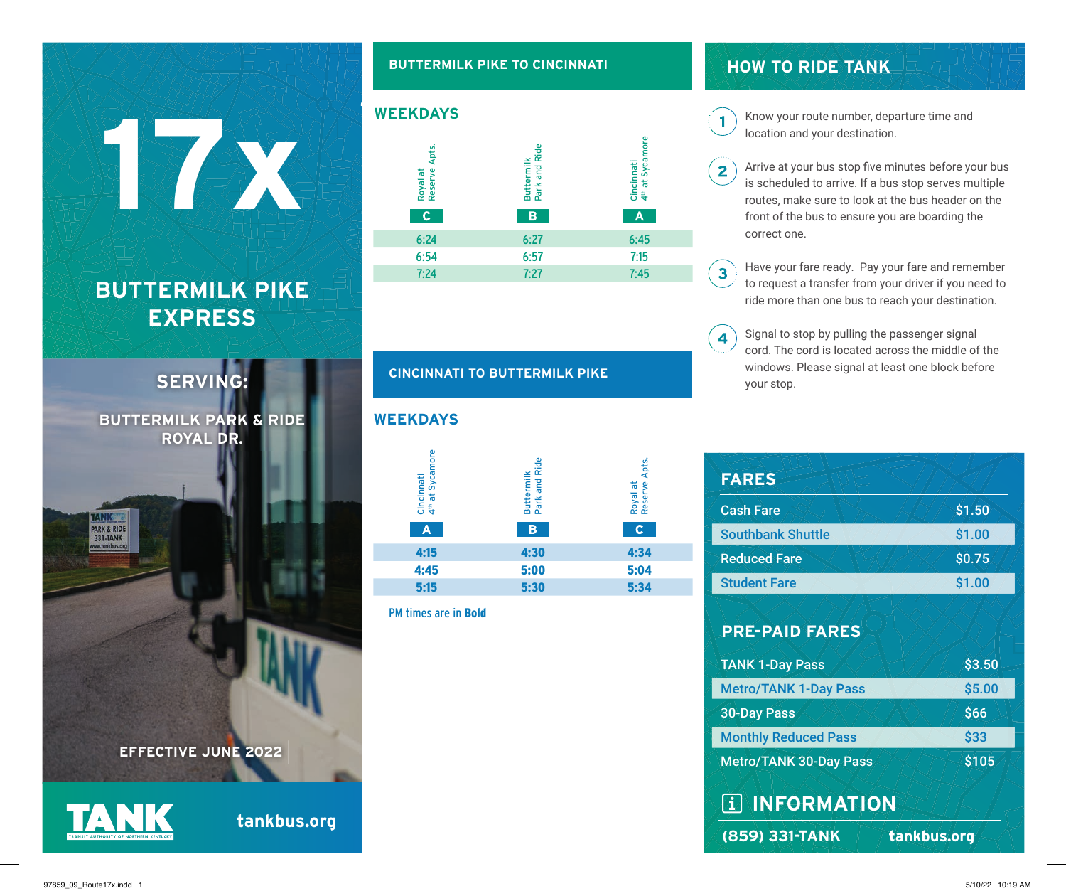# **BUTTERMILK PIKE EXPRESS**

17 x

**SERVING:**

**BUTTERMILK PARK & RIDE ROYAL DR.**

**EFFECTIVE JUNE 2022**

**tankbus.org**



**PARK & RIDE** 

331-TANK

**BUTTERMILK PIKE TO CINCINNATI**



#### **CINCINNATI TO BUTTERMILK PIKE**

#### **WEEKDAYS**



PM times are in Bold

# **HOW TO RIDE TANK**

 $\blacksquare$ 

Know your route number, departure time and location and your destination.

Arrive at your bus stop five minutes before your bus  $\overline{2}$ is scheduled to arrive. If a bus stop serves multiple routes, make sure to look at the bus header on the front of the bus to ensure you are boarding the correct one.

- Have your fare ready. Pay your fare and remember  $\mathbf{3}$ to request a transfer from your driver if you need to ride more than one bus to reach your destination.
- Signal to stop by pulling the passenger signal 4 cord. The cord is located across the middle of the windows. Please signal at least one block before your stop.

| <b>FARES</b>                  |             |
|-------------------------------|-------------|
| <b>Cash Fare</b>              | \$1.50      |
| <b>Southbank Shuttle</b>      | \$1.00      |
| <b>Reduced Fare</b>           | \$0.75      |
| <b>Student Fare</b>           | \$1.00      |
| <b>PRE-PAID FARES</b>         |             |
| <b>TANK 1-Day Pass</b>        | \$3.50      |
| <b>Metro/TANK 1-Day Pass</b>  | \$5.00      |
| <b>30-Day Pass</b>            | \$66        |
| <b>Monthly Reduced Pass</b>   | \$33        |
| <b>Metro/TANK 30-Day Pass</b> | \$105       |
| <b>TIMFORMATION</b>           |             |
| (859) 331-TANK                | tankbus.org |